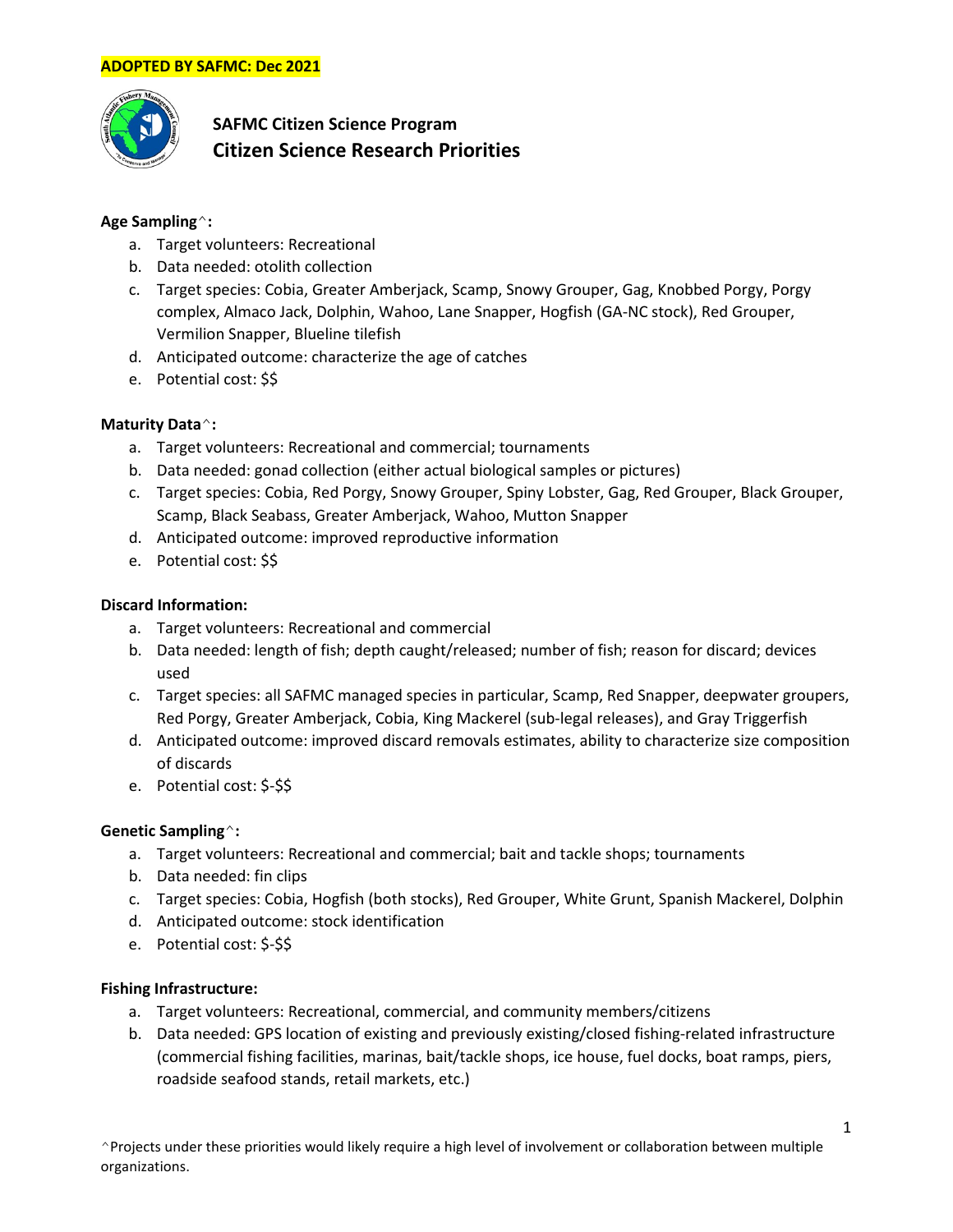

# **SAFMC Citizen Science Program Citizen Science Research Priorities**

# **Age Sampling**^**:**

- a. Target volunteers: Recreational
- b. Data needed: otolith collection
- c. Target species: Cobia, Greater Amberjack, Scamp, Snowy Grouper, Gag, Knobbed Porgy, Porgy complex, Almaco Jack, Dolphin, Wahoo, Lane Snapper, Hogfish (GA-NC stock), Red Grouper, Vermilion Snapper, Blueline tilefish
- d. Anticipated outcome: characterize the age of catches
- e. Potential cost: \$\$

# **Maturity Data**^**:**

- a. Target volunteers: Recreational and commercial; tournaments
- b. Data needed: gonad collection (either actual biological samples or pictures)
- c. Target species: Cobia, Red Porgy, Snowy Grouper, Spiny Lobster, Gag, Red Grouper, Black Grouper, Scamp, Black Seabass, Greater Amberjack, Wahoo, Mutton Snapper
- d. Anticipated outcome: improved reproductive information
- e. Potential cost: \$\$

## **Discard Information:**

- a. Target volunteers: Recreational and commercial
- b. Data needed: length of fish; depth caught/released; number of fish; reason for discard; devices used
- c. Target species: all SAFMC managed species in particular, Scamp, Red Snapper, deepwater groupers, Red Porgy, Greater Amberjack, Cobia, King Mackerel (sub-legal releases), and Gray Triggerfish
- d. Anticipated outcome: improved discard removals estimates, ability to characterize size composition of discards
- e. Potential cost: \$-\$\$

## **Genetic Sampling**^**:**

- a. Target volunteers: Recreational and commercial; bait and tackle shops; tournaments
- b. Data needed: fin clips
- c. Target species: Cobia, Hogfish (both stocks), Red Grouper, White Grunt, Spanish Mackerel, Dolphin
- d. Anticipated outcome: stock identification
- e. Potential cost: \$-\$\$

## **Fishing Infrastructure:**

- a. Target volunteers: Recreational, commercial, and community members/citizens
- b. Data needed: GPS location of existing and previously existing/closed fishing-related infrastructure (commercial fishing facilities, marinas, bait/tackle shops, ice house, fuel docks, boat ramps, piers, roadside seafood stands, retail markets, etc.)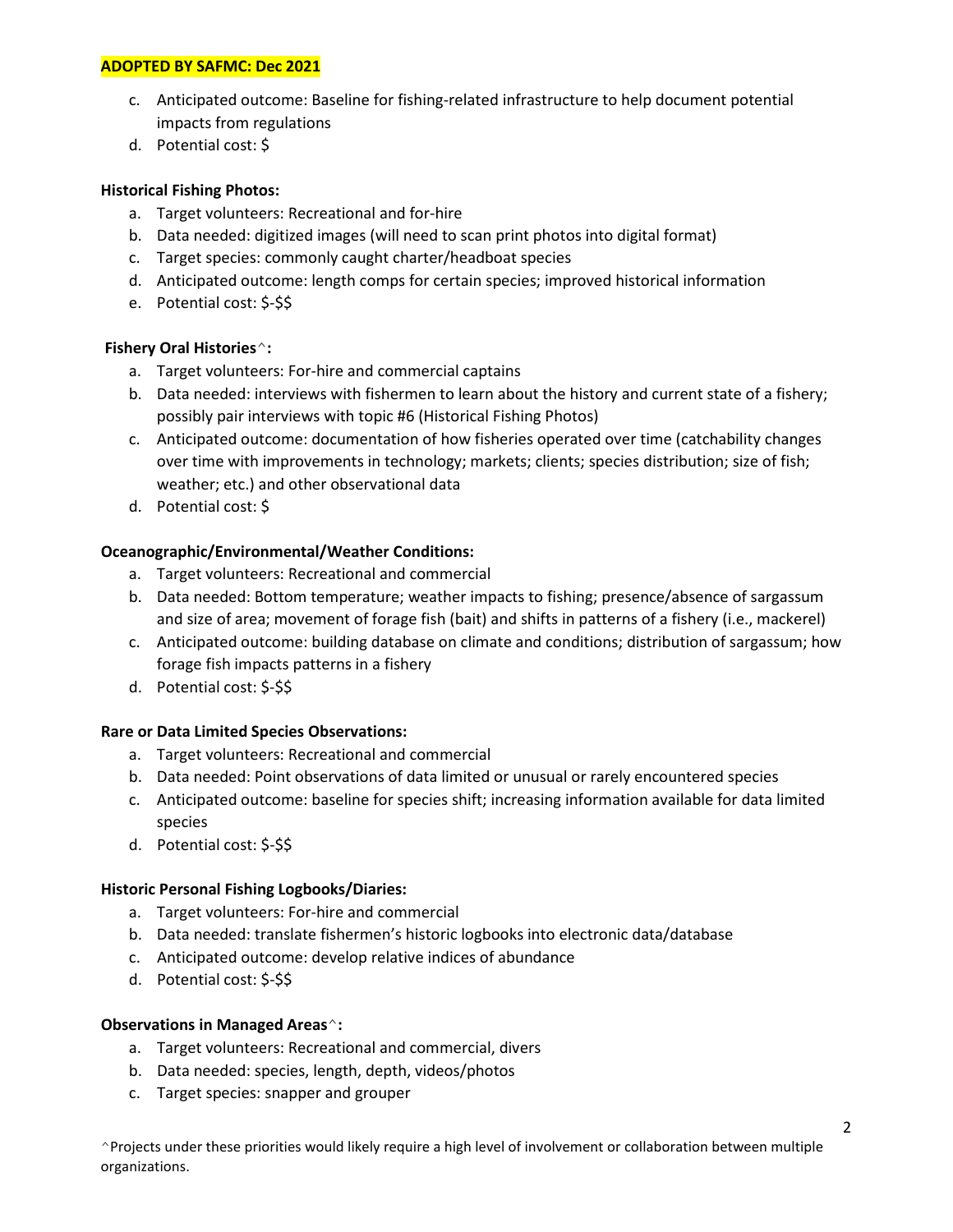## **ADOPTED BY SAFMC: Dec 2021**

- c. Anticipated outcome: Baseline for fishing-related infrastructure to help document potential impacts from regulations
- d. Potential cost: \$

## **Historical Fishing Photos:**

- a. Target volunteers: Recreational and for-hire
- b. Data needed: digitized images (will need to scan print photos into digital format)
- c. Target species: commonly caught charter/headboat species
- d. Anticipated outcome: length comps for certain species; improved historical information
- e. Potential cost: \$-\$\$

## **Fishery Oral Histories**^**:**

- a. Target volunteers: For-hire and commercial captains
- b. Data needed: interviews with fishermen to learn about the history and current state of a fishery; possibly pair interviews with topic #6 (Historical Fishing Photos)
- c. Anticipated outcome: documentation of how fisheries operated over time (catchability changes over time with improvements in technology; markets; clients; species distribution; size of fish; weather; etc.) and other observational data
- d. Potential cost: \$

## **Oceanographic/Environmental/Weather Conditions:**

- a. Target volunteers: Recreational and commercial
- b. Data needed: Bottom temperature; weather impacts to fishing; presence/absence of sargassum and size of area; movement of forage fish (bait) and shifts in patterns of a fishery (i.e., mackerel)
- c. Anticipated outcome: building database on climate and conditions; distribution of sargassum; how forage fish impacts patterns in a fishery
- d. Potential cost: \$-\$\$

## **Rare or Data Limited Species Observations:**

- a. Target volunteers: Recreational and commercial
- b. Data needed: Point observations of data limited or unusual or rarely encountered species
- c. Anticipated outcome: baseline for species shift; increasing information available for data limited species
- d. Potential cost: \$-\$\$

## **Historic Personal Fishing Logbooks/Diaries:**

- a. Target volunteers: For-hire and commercial
- b. Data needed: translate fishermen's historic logbooks into electronic data/database
- c. Anticipated outcome: develop relative indices of abundance
- d. Potential cost: \$-\$\$

## **Observations in Managed Areas**^**:**

- a. Target volunteers: Recreational and commercial, divers
- b. Data needed: species, length, depth, videos/photos
- c. Target species: snapper and grouper